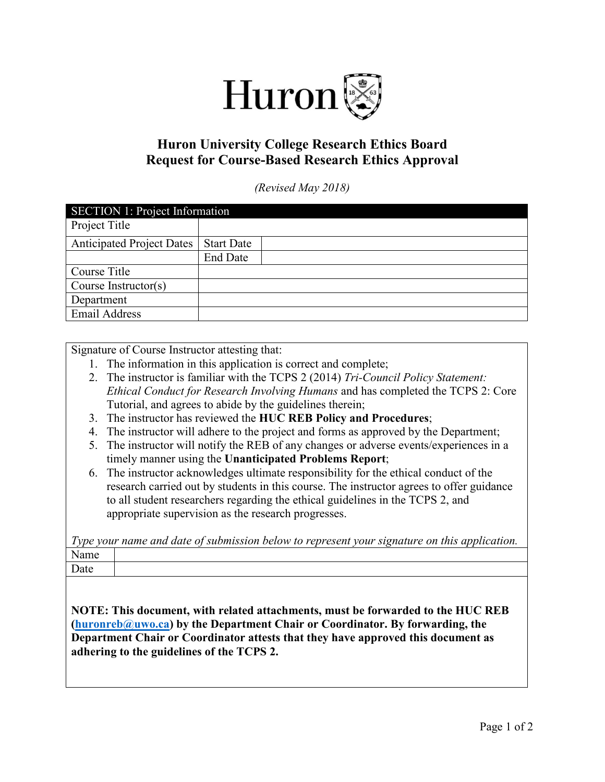

## **Huron University College Research Ethics Board Request for Course-Based Research Ethics Approval**

*(Revised May 2018)*

| <b>SECTION 1: Project Information</b> |                   |  |
|---------------------------------------|-------------------|--|
| Project Title                         |                   |  |
| <b>Anticipated Project Dates</b>      | <b>Start Date</b> |  |
|                                       | <b>End Date</b>   |  |
| Course Title                          |                   |  |
| Course Instructor(s)                  |                   |  |
| Department                            |                   |  |
| <b>Email Address</b>                  |                   |  |

Signature of Course Instructor attesting that:

- 1. The information in this application is correct and complete;
- 2. The instructor is familiar with the TCPS 2 (2014) *Tri-Council Policy Statement: Ethical Conduct for Research Involving Humans* and has completed the TCPS 2: Core Tutorial, and agrees to abide by the guidelines therein;
- 3. The instructor has reviewed the **HUC REB Policy and Procedures**;
- 4. The instructor will adhere to the project and forms as approved by the Department;
- 5. The instructor will notify the REB of any changes or adverse events/experiences in a timely manner using the **Unanticipated Problems Report**;
- 6. The instructor acknowledges ultimate responsibility for the ethical conduct of the research carried out by students in this course. The instructor agrees to offer guidance to all student researchers regarding the ethical guidelines in the TCPS 2, and appropriate supervision as the research progresses.

*Type your name and date of submission below to represent your signature on this application.* Name Date

**NOTE: This document, with related attachments, must be forwarded to the HUC REB [\(huronreb@uwo.ca\)](mailto:huronreb@uwo.ca) by the Department Chair or Coordinator. By forwarding, the Department Chair or Coordinator attests that they have approved this document as adhering to the guidelines of the TCPS 2.**